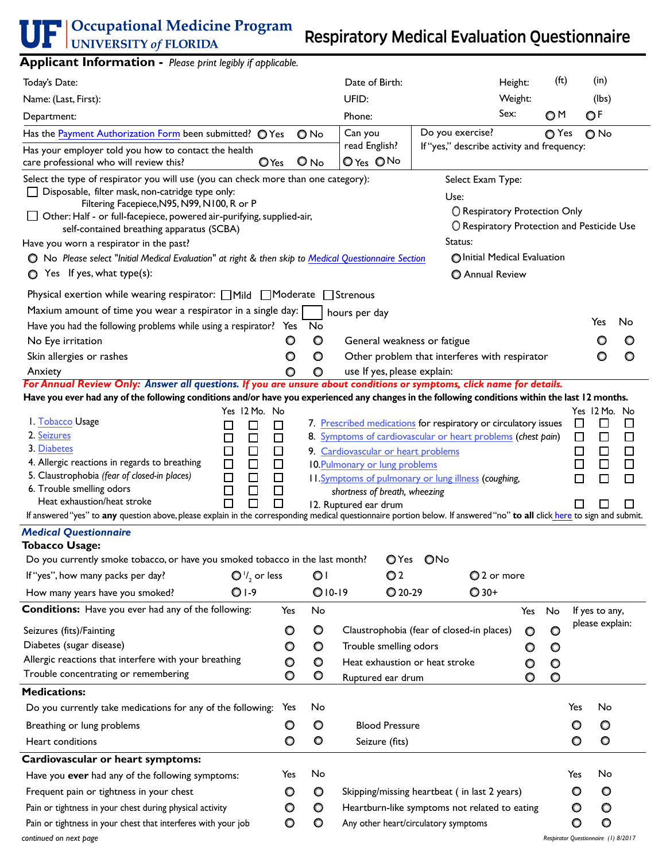<span id="page-0-3"></span><span id="page-0-2"></span><span id="page-0-1"></span><span id="page-0-0"></span>

| .ppcac<br><b>INTERNATION</b> <i>Rease print region</i> if applicable.                                                                                                                                                                                                                                                                                                                                                                                                                                                                   |                                                 |                                    |                                                                                                                                 |                                                                                                                                                                                         |                                            |                                          |                                                                                          |                                                |
|-----------------------------------------------------------------------------------------------------------------------------------------------------------------------------------------------------------------------------------------------------------------------------------------------------------------------------------------------------------------------------------------------------------------------------------------------------------------------------------------------------------------------------------------|-------------------------------------------------|------------------------------------|---------------------------------------------------------------------------------------------------------------------------------|-----------------------------------------------------------------------------------------------------------------------------------------------------------------------------------------|--------------------------------------------|------------------------------------------|------------------------------------------------------------------------------------------|------------------------------------------------|
| Today's Date:                                                                                                                                                                                                                                                                                                                                                                                                                                                                                                                           |                                                 |                                    | Date of Birth:                                                                                                                  |                                                                                                                                                                                         | Height:                                    | (f <sub>t</sub> )                        | (in)                                                                                     |                                                |
| Name: (Last, First):                                                                                                                                                                                                                                                                                                                                                                                                                                                                                                                    |                                                 |                                    | UFID:                                                                                                                           |                                                                                                                                                                                         | Weight:                                    |                                          | (lbs)                                                                                    |                                                |
| Department:                                                                                                                                                                                                                                                                                                                                                                                                                                                                                                                             |                                                 |                                    | Phone:                                                                                                                          |                                                                                                                                                                                         | Sex:                                       | OM                                       | OF                                                                                       |                                                |
| Has the Payment Authorization Form been submitted? O Yes                                                                                                                                                                                                                                                                                                                                                                                                                                                                                |                                                 | $\bigcirc$ No                      | Can you                                                                                                                         | Do you exercise?                                                                                                                                                                        |                                            | ○ Yes                                    | $O$ No                                                                                   |                                                |
| Has your employer told you how to contact the health<br>care professional who will review this?                                                                                                                                                                                                                                                                                                                                                                                                                                         | $O$ Yes                                         | $O$ No                             | read English?<br>O Yes ONo                                                                                                      | If "yes," describe activity and frequency:                                                                                                                                              |                                            |                                          |                                                                                          |                                                |
| Select the type of respirator you will use (you can check more than one category):<br>Disposable, filter mask, non-catridge type only:<br>Filtering Facepiece, N95, N99, N100, R or P<br>Other: Half - or full-facepiece, powered air-purifying, supplied-air,<br>self-contained breathing apparatus (SCBA)<br>Have you worn a respirator in the past?<br>O No Please select "Initial Medical Evaluation" at right & then skip to Medical Questionnaire Section                                                                         |                                                 |                                    |                                                                                                                                 | Select Exam Type:<br>Use:<br>O Respiratory Protection Only<br>Status:<br>O Initial Medical Evaluation                                                                                   | O Respiratory Protection and Pesticide Use |                                          |                                                                                          |                                                |
| Yes If yes, what $type(s)$ :<br>O                                                                                                                                                                                                                                                                                                                                                                                                                                                                                                       |                                                 |                                    |                                                                                                                                 | <b>O</b> Annual Review                                                                                                                                                                  |                                            |                                          |                                                                                          |                                                |
| Physical exertion while wearing respirator: $\Box$ Mild $\Box$ Moderate $\Box$ Strenous<br>Maxium amount of time you wear a respirator in a single day:<br>Have you had the following problems while using a respirator? Yes<br>No Eye irritation<br>Skin allergies or rashes<br>Anxiety                                                                                                                                                                                                                                                | O<br>O<br>O                                     | No<br>O<br>O<br>O                  | hours per day<br>General weakness or fatigue<br>use If yes, please explain:                                                     | Other problem that interferes with respirator                                                                                                                                           |                                            |                                          | Yes<br>O                                                                                 | No<br>O<br>O                                   |
| For Annual Review Only: Answer all questions. If you are unsure about conditions or symptoms, click name for details.<br>Have you ever had any of the following conditions and/or have you experienced any changes in the following conditions within the last 12 months.                                                                                                                                                                                                                                                               |                                                 |                                    |                                                                                                                                 |                                                                                                                                                                                         |                                            |                                          |                                                                                          |                                                |
| Yes 12 Mo. No<br>I. Tobacco Usage<br>□<br>2. Seizures<br>$\Box$<br>$\Box$<br>3. Diabetes<br>$\Box$<br>0<br>0<br>0<br>4. Allergic reactions in regards to breathing<br>$\Box$<br>5. Claustrophobia (fear of closed-in places)<br>$\Box$<br>6. Trouble smelling odors<br>$\Box$<br>Heat exhaustion/heat stroke<br>П<br>$\Box$<br>If answered "yes" to any question above, please explain in the corresponding medical questionnaire portion below. If answered "no" to all click here to sign and submit.<br><b>Medical Questionnaire</b> | □<br>□<br>□<br>$\Box$<br>$\Box$<br>$\Box$<br>П  |                                    | 9. Cardiovascular or heart problems<br>10. Pulmonary or lung problems<br>shortness of breath, wheezing<br>12. Ruptured ear drum | 7. Prescribed medications for respiratory or circulatory issues<br>8. Symptoms of cardiovascular or heart problems (chest pain)<br>11. Symptoms of pulmonary or lung illness (coughing, |                                            |                                          | Yes 12 Mo. No<br>□<br>□<br>$\Box$<br>$\Box$<br>$\Box$<br>□<br>$\Box$<br>□<br>$\Box$<br>□ | $\Box$<br>$\Box$<br>$\Box$<br>$\Box$<br>$\Box$ |
| <b>Tobacco Usage:</b>                                                                                                                                                                                                                                                                                                                                                                                                                                                                                                                   |                                                 |                                    |                                                                                                                                 |                                                                                                                                                                                         |                                            |                                          |                                                                                          |                                                |
| Do you currently smoke tobacco, or have you smoked tobacco in the last month?                                                                                                                                                                                                                                                                                                                                                                                                                                                           |                                                 |                                    |                                                                                                                                 | OYes ONo                                                                                                                                                                                |                                            |                                          |                                                                                          |                                                |
| If "yes", how many packs per day?<br>$\bigcirc$ '/ <sub>2</sub> or less                                                                                                                                                                                                                                                                                                                                                                                                                                                                 |                                                 | O۱                                 | O <sub>2</sub>                                                                                                                  |                                                                                                                                                                                         | ◯ 2 or more                                |                                          |                                                                                          |                                                |
| $O I-9$<br>How many years have you smoked?                                                                                                                                                                                                                                                                                                                                                                                                                                                                                              |                                                 | $O10-19$                           | $Q$ 20-29                                                                                                                       | $Q$ 30+                                                                                                                                                                                 |                                            |                                          |                                                                                          |                                                |
| <b>Conditions:</b> Have you ever had any of the following:<br>Seizures (fits)/Fainting<br>Diabetes (sugar disease)<br>Allergic reactions that interfere with your breathing<br>Trouble concentrating or remembering                                                                                                                                                                                                                                                                                                                     | Yes<br>$\circ$<br>$\circ$<br>$\circ$<br>$\circ$ | No<br>O<br>O<br>$\circ$<br>$\circ$ | Trouble smelling odors<br>Heat exhaustion or heat stroke<br>Ruptured ear drum                                                   | Claustrophobia (fear of closed-in places)                                                                                                                                               | Yes<br>$\circ$<br>O<br>$\circ$<br>O        | No<br>$\circ$<br>O<br>$\circ$<br>$\circ$ | If yes to any,<br>please explain:                                                        |                                                |
| <b>Medications:</b>                                                                                                                                                                                                                                                                                                                                                                                                                                                                                                                     |                                                 |                                    |                                                                                                                                 |                                                                                                                                                                                         |                                            |                                          |                                                                                          |                                                |
| Do you currently take medications for any of the following:                                                                                                                                                                                                                                                                                                                                                                                                                                                                             | Yes                                             | No                                 |                                                                                                                                 |                                                                                                                                                                                         |                                            |                                          | No<br>Yes                                                                                |                                                |
| Breathing or lung problems                                                                                                                                                                                                                                                                                                                                                                                                                                                                                                              | O                                               | O                                  | <b>Blood Pressure</b>                                                                                                           |                                                                                                                                                                                         |                                            |                                          | O<br>O                                                                                   |                                                |
| Heart conditions                                                                                                                                                                                                                                                                                                                                                                                                                                                                                                                        | $\circ$                                         | $\circ$                            | Seizure (fits)                                                                                                                  |                                                                                                                                                                                         |                                            |                                          | $\circ$<br>$\circ$                                                                       |                                                |
| Cardiovascular or heart symptoms:                                                                                                                                                                                                                                                                                                                                                                                                                                                                                                       |                                                 |                                    |                                                                                                                                 |                                                                                                                                                                                         |                                            |                                          |                                                                                          |                                                |
| Have you ever had any of the following symptoms:                                                                                                                                                                                                                                                                                                                                                                                                                                                                                        | Yes                                             | No                                 |                                                                                                                                 |                                                                                                                                                                                         |                                            | Yes                                      | No                                                                                       |                                                |
| Frequent pain or tightness in your chest                                                                                                                                                                                                                                                                                                                                                                                                                                                                                                | O                                               | O                                  |                                                                                                                                 | Skipping/missing heartbeat (in last 2 years)                                                                                                                                            |                                            |                                          | O<br>O                                                                                   |                                                |
| Pain or tightness in your chest during physical activity                                                                                                                                                                                                                                                                                                                                                                                                                                                                                | $\circ$                                         | O                                  |                                                                                                                                 | Heartburn-like symptoms not related to eating                                                                                                                                           |                                            |                                          | O<br>O                                                                                   |                                                |
| Pain or tightness in your chest that interferes with your job                                                                                                                                                                                                                                                                                                                                                                                                                                                                           | O                                               | O                                  |                                                                                                                                 | Any other heart/circulatory symptoms                                                                                                                                                    |                                            |                                          | $\circ$<br>O                                                                             |                                                |
| continued on next page                                                                                                                                                                                                                                                                                                                                                                                                                                                                                                                  |                                                 |                                    |                                                                                                                                 |                                                                                                                                                                                         |                                            |                                          | Respirator Questionnaire (1) 8/2017                                                      |                                                |